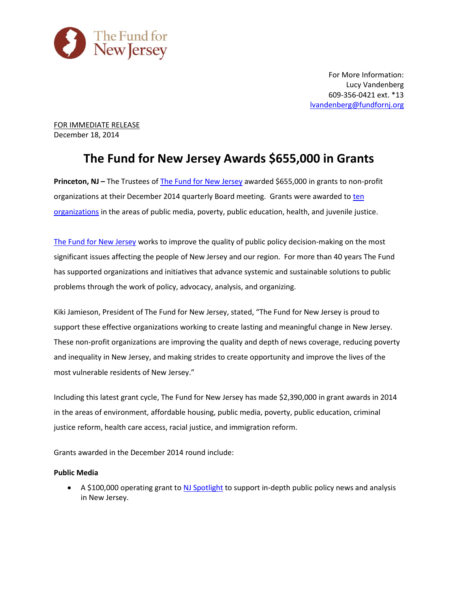

For More Information: Lucy Vandenberg 609-356-0421 ext. \*13 [lvandenberg@fundfornj.org](mailto:lvandenberg@fundfornj.org)

FOR IMMEDIATE RELEASE December 18, 2014

## **The Fund for New Jersey Awards \$655,000 in Grants**

**Princeton, NJ – The Trustees of [The Fund for New Jersey](http://www.fundfornj.org/) awarded \$655,000 in grants to non-profit** organizations at their December 2014 quarterly Board meeting. Grants were awarded to [ten](http://www.fundfornj.org/grants-awarded/2014)  [organizations](http://www.fundfornj.org/grants-awarded/2014) in the areas of public media, poverty, public education, health, and juvenile justice.

[The Fund for New Jersey](http://www.fundfornj.org/) works to improve the quality of public policy decision-making on the most significant issues affecting the people of New Jersey and our region. For more than 40 years The Fund has supported organizations and initiatives that advance systemic and sustainable solutions to public problems through the work of policy, advocacy, analysis, and organizing.

Kiki Jamieson, President of The Fund for New Jersey, stated, "The Fund for New Jersey is proud to support these effective organizations working to create lasting and meaningful change in New Jersey. These non-profit organizations are improving the quality and depth of news coverage, reducing poverty and inequality in New Jersey, and making strides to create opportunity and improve the lives of the most vulnerable residents of New Jersey."

Including this latest grant cycle, The Fund for New Jersey has made \$2,390,000 in grant awards in 2014 in the areas of environment, affordable housing, public media, poverty, public education, criminal justice reform, health care access, racial justice, and immigration reform.

Grants awarded in the December 2014 round include:

## **Public Media**

A \$100,000 operating grant to [NJ Spotlight](http://www.njspotlight.com/) to support in-depth public policy news and analysis in New Jersey.